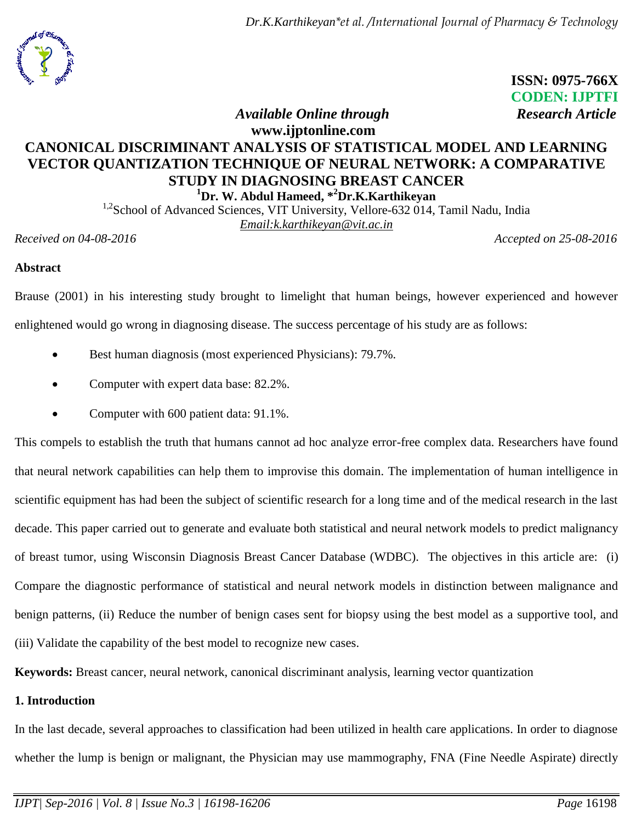*Dr.K.Karthikeyan\*et al. /International Journal of Pharmacy & Technology*



 **ISSN: 0975-766X CODEN: IJPTFI**

*Available Online through* Research Article

# **www.ijptonline.com CANONICAL DISCRIMINANT ANALYSIS OF STATISTICAL MODEL AND LEARNING VECTOR QUANTIZATION TECHNIQUE OF NEURAL NETWORK: A COMPARATIVE STUDY IN DIAGNOSING BREAST CANCER <sup>1</sup>Dr. W. Abdul Hameed, \*<sup>2</sup>Dr.K.Karthikeyan**

<sup>1,2</sup>School of Advanced Sciences, VIT University, Vellore-632 014, Tamil Nadu, India *Email[:k.karthikeyan@vit.ac.in](mailto:k.karthikeyan@vit.ac.in)*

*Received on 04-08-2016 Accepted on 25-08-2016*

# **Abstract**

Brause (2001) in his interesting study brought to limelight that human beings, however experienced and however enlightened would go wrong in diagnosing disease. The success percentage of his study are as follows:

- Best human diagnosis (most experienced Physicians): 79.7%.
- Computer with expert data base: 82.2%.
- Computer with 600 patient data: 91.1%.

This compels to establish the truth that humans cannot ad hoc analyze error-free complex data. Researchers have found that neural network capabilities can help them to improvise this domain. The implementation of human intelligence in scientific equipment has had been the subject of scientific research for a long time and of the medical research in the last decade. This paper carried out to generate and evaluate both statistical and neural network models to predict malignancy of breast tumor, using Wisconsin Diagnosis Breast Cancer Database (WDBC). The objectives in this article are: (i) Compare the diagnostic performance of statistical and neural network models in distinction between malignance and benign patterns, (ii) Reduce the number of benign cases sent for biopsy using the best model as a supportive tool, and (iii) Validate the capability of the best model to recognize new cases.

**Keywords:** Breast cancer, neural network, canonical discriminant analysis, learning vector quantization

# **1. Introduction**

In the last decade, several approaches to classification had been utilized in health care applications. In order to diagnose whether the lump is benign or malignant, the Physician may use mammography, FNA (Fine Needle Aspirate) directly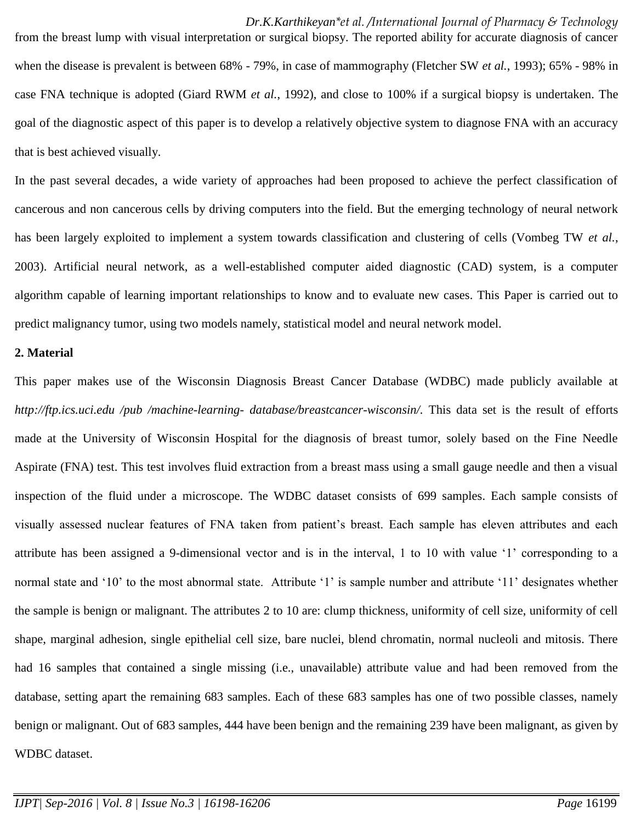*Dr.K.Karthikeyan\*et al. /International Journal of Pharmacy & Technology* from the breast lump with visual interpretation or surgical biopsy. The reported ability for accurate diagnosis of cancer when the disease is prevalent is between 68% - 79%, in case of mammography (Fletcher SW *et al.*, 1993); 65% - 98% in case FNA technique is adopted (Giard RWM *et al.*, 1992), and close to 100% if a surgical biopsy is undertaken. The goal of the diagnostic aspect of this paper is to develop a relatively objective system to diagnose FNA with an accuracy that is best achieved visually.

In the past several decades, a wide variety of approaches had been proposed to achieve the perfect classification of cancerous and non cancerous cells by driving computers into the field. But the emerging technology of neural network has been largely exploited to implement a system towards classification and clustering of cells (Vombeg TW *et al.*, 2003). Artificial neural network, as a well-established computer aided diagnostic (CAD) system, is a computer algorithm capable of learning important relationships to know and to evaluate new cases. This Paper is carried out to predict malignancy tumor, using two models namely, statistical model and neural network model.

### **2. Material**

This paper makes use of the Wisconsin Diagnosis Breast Cancer Database (WDBC) made publicly available at *http://ftp.ics.uci.edu /pub /machine-learning- database/breastcancer-wisconsin/.* This data set is the result of efforts made at the University of Wisconsin Hospital for the diagnosis of breast tumor, solely based on the Fine Needle Aspirate (FNA) test. This test involves fluid extraction from a breast mass using a small gauge needle and then a visual inspection of the fluid under a microscope. The WDBC dataset consists of 699 samples. Each sample consists of visually assessed nuclear features of FNA taken from patient's breast. Each sample has eleven attributes and each attribute has been assigned a 9-dimensional vector and is in the interval, 1 to 10 with value '1' corresponding to a normal state and '10' to the most abnormal state. Attribute '1' is sample number and attribute '11' designates whether the sample is benign or malignant. The attributes 2 to 10 are: clump thickness, uniformity of cell size, uniformity of cell shape, marginal adhesion, single epithelial cell size, bare nuclei, blend chromatin, normal nucleoli and mitosis. There had 16 samples that contained a single missing (i.e., unavailable) attribute value and had been removed from the database, setting apart the remaining 683 samples. Each of these 683 samples has one of two possible classes, namely benign or malignant. Out of 683 samples, 444 have been benign and the remaining 239 have been malignant, as given by WDBC dataset.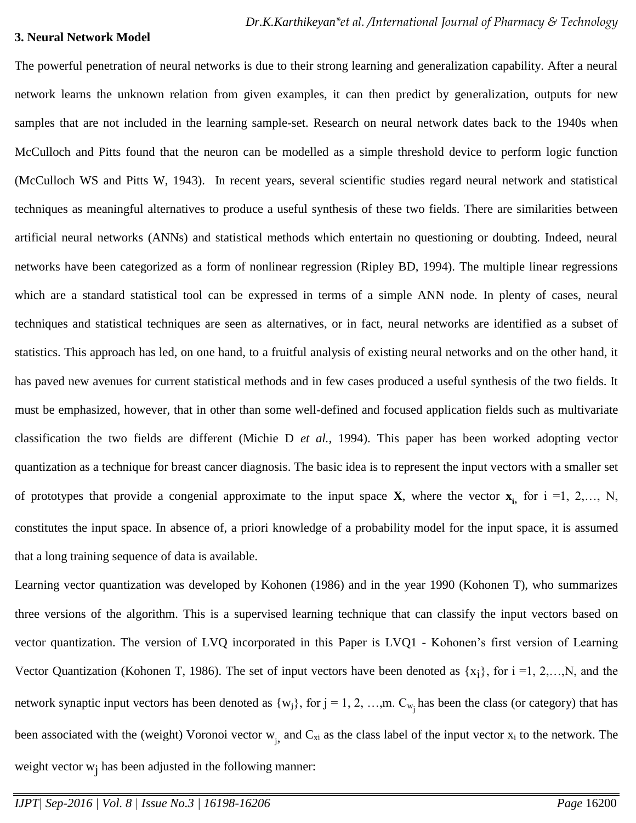#### **3. Neural Network Model**

The powerful penetration of neural networks is due to their strong learning and generalization capability. After a neural network learns the unknown relation from given examples, it can then predict by generalization, outputs for new samples that are not included in the learning sample-set. Research on neural network dates back to the 1940s when McCulloch and Pitts found that the neuron can be modelled as a simple threshold device to perform logic function (McCulloch WS and Pitts W, 1943). In recent years, several scientific studies regard neural network and statistical techniques as meaningful alternatives to produce a useful synthesis of these two fields. There are similarities between artificial neural networks (ANNs) and statistical methods which entertain no questioning or doubting. Indeed, neural networks have been categorized as a form of nonlinear regression (Ripley BD, 1994). The multiple linear regressions which are a standard statistical tool can be expressed in terms of a simple ANN node. In plenty of cases, neural techniques and statistical techniques are seen as alternatives, or in fact, neural networks are identified as a subset of statistics. This approach has led, on one hand, to a fruitful analysis of existing neural networks and on the other hand, it has paved new avenues for current statistical methods and in few cases produced a useful synthesis of the two fields. It must be emphasized, however, that in other than some well-defined and focused application fields such as multivariate classification the two fields are different (Michie D *et al.*, 1994). This paper has been worked adopting vector quantization as a technique for breast cancer diagnosis. The basic idea is to represent the input vectors with a smaller set of prototypes that provide a congenial approximate to the input space **X**, where the vector  $\mathbf{x}_i$ , for i =1, 2,..., N, constitutes the input space. In absence of, a priori knowledge of a probability model for the input space, it is assumed that a long training sequence of data is available.

Learning vector quantization was developed by Kohonen (1986) and in the year 1990 (Kohonen T), who summarizes three versions of the algorithm. This is a supervised learning technique that can classify the input vectors based on vector quantization. The version of LVQ incorporated in this Paper is LVQ1 - Kohonen's first version of Learning Vector Quantization (Kohonen T, 1986). The set of input vectors have been denoted as  $\{x_i\}$ , for  $i = 1, 2, ..., N$ , and the network synaptic input vectors has been denoted as  $\{w_j\}$ , for  $j = 1, 2, ..., m$ . C<sub>w<sub>i</sub></sub> has been the class (or category) that has been associated with the (weight) Voronoi vector  $w_j$ , and  $C_{xi}$  as the class label of the input vector  $x_i$  to the network. The weight vector w<sub>j</sub> has been adjusted in the following manner: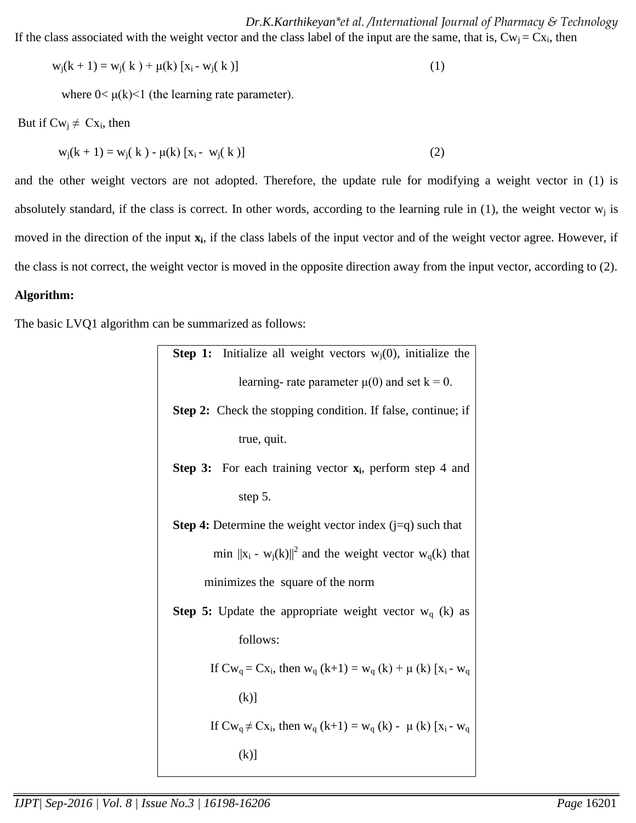*Dr.K.Karthikeyan\*et al. /International Journal of Pharmacy & Technology* If the class associated with the weight vector and the class label of the input are the same, that is,  $Cw_j = Cx_i$ , then

$$
w_j(k + 1) = w_j(k) + \mu(k) [x_i - w_j(k)]
$$
 (1)

where  $0 < \mu(k) < 1$  (the learning rate parameter).

But if  $Cw_j \neq Cx_i$ , then

$$
w_j(k + 1) = w_j(k) - \mu(k) [x_i - w_j(k)]
$$
 (2)

and the other weight vectors are not adopted. Therefore, the update rule for modifying a weight vector in (1) is absolutely standard, if the class is correct. In other words, according to the learning rule in  $(1)$ , the weight vector  $w_i$  is moved in the direction of the input  $x_i$ , if the class labels of the input vector and of the weight vector agree. However, if the class is not correct, the weight vector is moved in the opposite direction away from the input vector, according to (2).

#### **Algorithm:**

The basic LVQ1 algorithm can be summarized as follows:

| <b>Step 1:</b> Initialize all weight vectors $w_i(0)$ , initialize the |  |  |  |  |  |
|------------------------------------------------------------------------|--|--|--|--|--|
| learning- rate parameter $\mu(0)$ and set k = 0.                       |  |  |  |  |  |
| Step 2: Check the stopping condition. If false, continue; if           |  |  |  |  |  |
| true, quit.                                                            |  |  |  |  |  |
| <b>Step 3:</b> For each training vector $x_i$ , perform step 4 and     |  |  |  |  |  |
| step 5.                                                                |  |  |  |  |  |
| <b>Step 4:</b> Determine the weight vector index $(j=q)$ such that     |  |  |  |  |  |
| min $  x_i - w_j(k)  ^2$ and the weight vector $w_q(k)$ that           |  |  |  |  |  |
| minimizes the square of the norm                                       |  |  |  |  |  |
| <b>Step 5:</b> Update the appropriate weight vector $w_q$ (k) as       |  |  |  |  |  |
| follows:                                                               |  |  |  |  |  |
| If $Cw_q = Cx_i$ , then $w_q (k+1) = w_q (k) + \mu (k) [x_i - w_q]$    |  |  |  |  |  |
| $(k)$ ]                                                                |  |  |  |  |  |
| If $Cw_q \neq Cx_i$ , then $w_q (k+1) = w_q (k) - \mu (k) [x_i - w_q]$ |  |  |  |  |  |
| $(k)$ ]                                                                |  |  |  |  |  |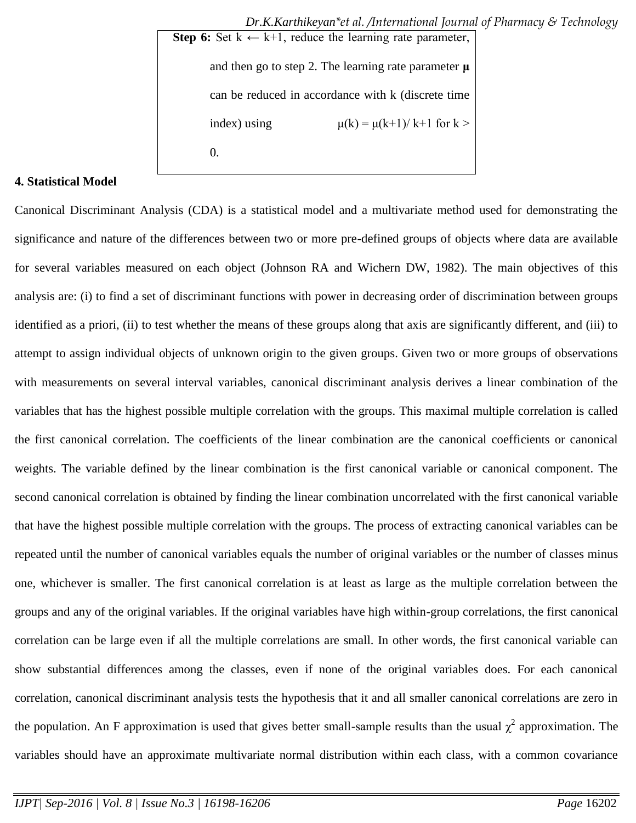*Dr.K.Karthikeyan\*et al. /International Journal of Pharmacy & Technology* **Step 6:** Set  $k \leftarrow k+1$ , reduce the learning rate parameter, and then go to step 2. The learning rate parameter **μ** can be reduced in accordance with k (discrete time index) using  $\mu(k) = \mu(k+1)/k+1$  for  $k >$ 0.

#### **4. Statistical Model**

Canonical Discriminant Analysis (CDA) is a statistical model and a multivariate method used for demonstrating the significance and nature of the differences between two or more pre-defined groups of objects where data are available for several variables measured on each object (Johnson RA and Wichern DW, 1982). The main objectives of this analysis are: (i) to find a set of discriminant functions with power in decreasing order of discrimination between groups identified as a priori, (ii) to test whether the means of these groups along that axis are significantly different, and (iii) to attempt to assign individual objects of unknown origin to the given groups. Given two or more groups of observations with measurements on several interval variables, canonical discriminant analysis derives a linear combination of the variables that has the highest possible multiple correlation with the groups. This maximal multiple correlation is called the first canonical correlation. The coefficients of the linear combination are the canonical coefficients or canonical weights. The variable defined by the linear combination is the first canonical variable or canonical component. The second canonical correlation is obtained by finding the linear combination uncorrelated with the first canonical variable that have the highest possible multiple correlation with the groups. The process of extracting canonical variables can be repeated until the number of canonical variables equals the number of original variables or the number of classes minus one, whichever is smaller. The first canonical correlation is at least as large as the multiple correlation between the groups and any of the original variables. If the original variables have high within-group correlations, the first canonical correlation can be large even if all the multiple correlations are small. In other words, the first canonical variable can show substantial differences among the classes, even if none of the original variables does. For each canonical correlation, canonical discriminant analysis tests the hypothesis that it and all smaller canonical correlations are zero in the population. An F approximation is used that gives better small-sample results than the usual  $\chi^2$  approximation. The variables should have an approximate multivariate normal distribution within each class, with a common covariance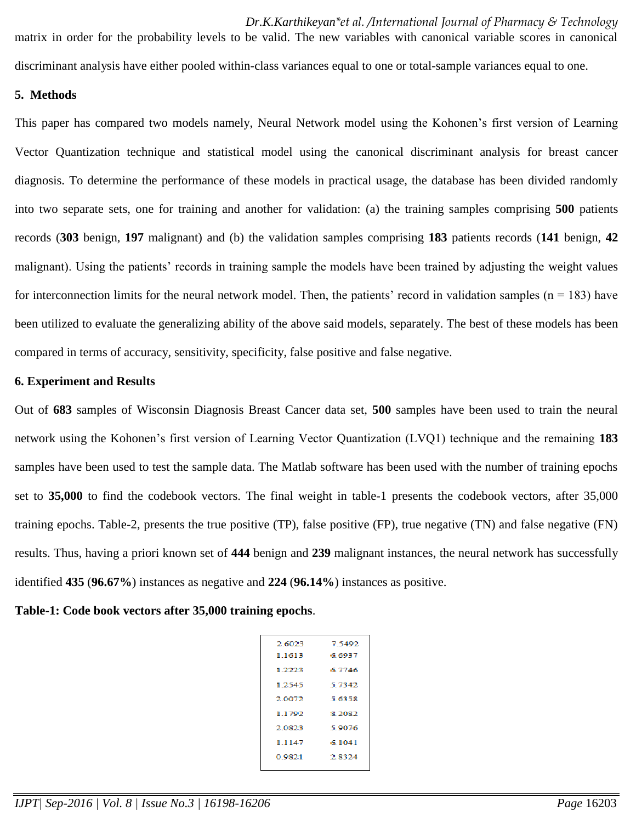*Dr.K.Karthikeyan\*et al. /International Journal of Pharmacy & Technology* matrix in order for the probability levels to be valid. The new variables with canonical variable scores in canonical discriminant analysis have either pooled within-class variances equal to one or total-sample variances equal to one.

### **5. Methods**

This paper has compared two models namely, Neural Network model using the Kohonen's first version of Learning Vector Quantization technique and statistical model using the canonical discriminant analysis for breast cancer diagnosis. To determine the performance of these models in practical usage, the database has been divided randomly into two separate sets, one for training and another for validation: (a) the training samples comprising **500** patients records (**303** benign, **197** malignant) and (b) the validation samples comprising **183** patients records (**141** benign, **42** malignant). Using the patients' records in training sample the models have been trained by adjusting the weight values for interconnection limits for the neural network model. Then, the patients' record in validation samples ( $n = 183$ ) have been utilized to evaluate the generalizing ability of the above said models, separately. The best of these models has been compared in terms of accuracy, sensitivity, specificity, false positive and false negative.

### **6. Experiment and Results**

Out of **683** samples of Wisconsin Diagnosis Breast Cancer data set, **500** samples have been used to train the neural network using the Kohonen's first version of Learning Vector Quantization (LVQ1) technique and the remaining **183** samples have been used to test the sample data. The Matlab software has been used with the number of training epochs set to **35,000** to find the codebook vectors. The final weight in table-1 presents the codebook vectors, after 35,000 training epochs. Table-2, presents the true positive (TP), false positive (FP), true negative (TN) and false negative (FN) results. Thus, having a priori known set of **444** benign and **239** malignant instances, the neural network has successfully identified **435** (**96.67%**) instances as negative and **224** (**96.14%**) instances as positive.

**Table-1: Code book vectors after 35,000 training epochs**.

| 2.6023<br>1 1613 | 7.5492<br>6.6937 |
|------------------|------------------|
| 1 2223           | 6.7746           |
| 1.2545           | 5.7342           |
| 2.0072           | 5.6358           |
| 1.1792           | 8.2082.          |
| 2.0823           | 5.9076           |
| 1 1 1 4 7        | 61041            |
| 0.9821           | 28324            |
|                  |                  |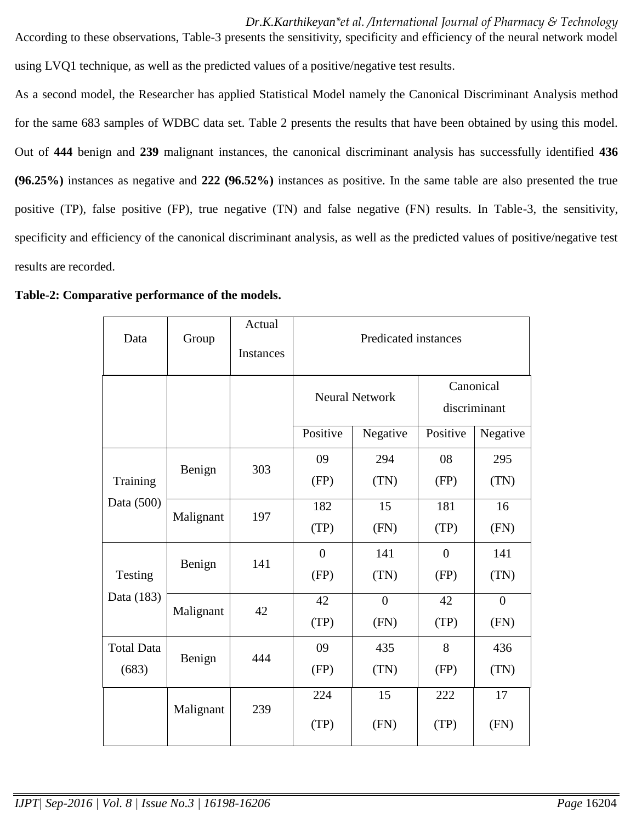*Dr.K.Karthikeyan\*et al. /International Journal of Pharmacy & Technology* According to these observations, Table-3 presents the sensitivity, specificity and efficiency of the neural network model using LVQ1 technique, as well as the predicted values of a positive/negative test results.

As a second model, the Researcher has applied Statistical Model namely the Canonical Discriminant Analysis method for the same 683 samples of WDBC data set. Table 2 presents the results that have been obtained by using this model. Out of **444** benign and **239** malignant instances, the canonical discriminant analysis has successfully identified **436 (96.25%)** instances as negative and **222 (96.52%)** instances as positive. In the same table are also presented the true positive (TP), false positive (FP), true negative (TN) and false negative (FN) results. In Table-3, the sensitivity, specificity and efficiency of the canonical discriminant analysis, as well as the predicted values of positive/negative test results are recorded.

| Data                   | Group            | Actual<br><b>Instances</b> | Predicated instances  |                |                           |                |
|------------------------|------------------|----------------------------|-----------------------|----------------|---------------------------|----------------|
|                        |                  |                            | <b>Neural Network</b> |                | Canonical<br>discriminant |                |
|                        |                  |                            | Positive              | Negative       | Positive                  | Negative       |
| Training<br>Data (500) | Benign           | 303                        | 09                    | 294            | 08                        | 295            |
|                        |                  |                            | (FP)                  | (TN)           | (FP)                      | (TN)           |
|                        | Malignant        | 197                        | 182                   | 15             | 181                       | 16             |
|                        |                  |                            | (TP)                  | (FN)           | (TP)                      | (FN)           |
| Testing                | Benign           | 141                        | $\theta$              | 141            | $\overline{0}$            | 141            |
|                        |                  |                            | (FP)                  | (TN)           | (FP)                      | (TN)           |
| Data (183)             | Malignant        | 42                         | 42                    | $\overline{0}$ | 42                        | $\overline{0}$ |
|                        |                  |                            | (TP)                  | (FN)           | (TP)                      | (FN)           |
| <b>Total Data</b>      |                  | 444                        | 09                    | 435            | 8                         | 436            |
| (683)                  | Benign           | (FP)                       | (TN)                  | (FP)           | (TN)                      |                |
|                        | Malignant<br>239 | 224                        | 15                    | 222            | 17                        |                |
|                        |                  |                            | (TP)                  | (FN)           | (TP)                      | (FN)           |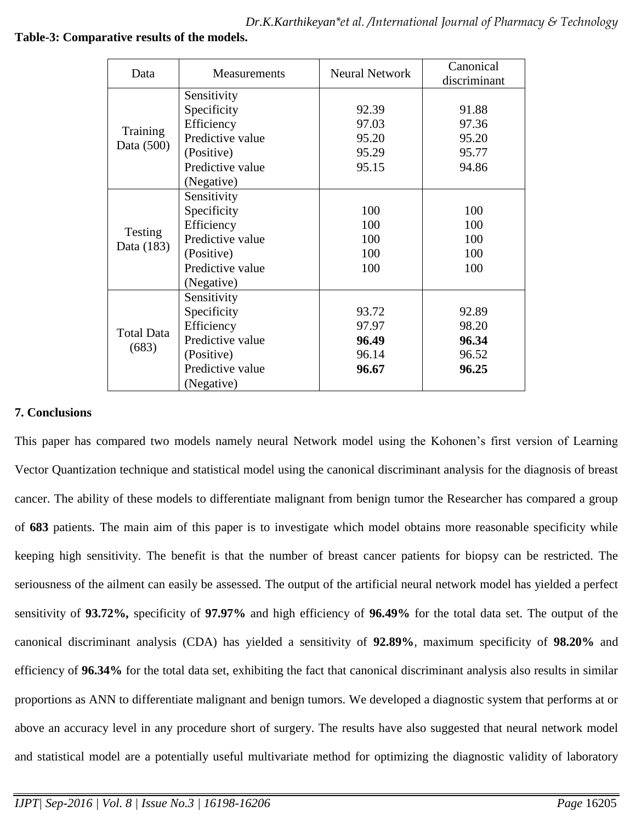| Data                       | Measurements     | <b>Neural Network</b> | Canonical    |  |
|----------------------------|------------------|-----------------------|--------------|--|
|                            |                  |                       | discriminant |  |
| Training<br>Data (500)     | Sensitivity      |                       |              |  |
|                            | Specificity      | 92.39                 | 91.88        |  |
|                            | Efficiency       | 97.03                 | 97.36        |  |
|                            | Predictive value | 95.20                 | 95.20        |  |
|                            | (Positive)       | 95.29                 | 95.77        |  |
|                            | Predictive value | 95.15                 | 94.86        |  |
|                            | (Negative)       |                       |              |  |
|                            | Sensitivity      |                       |              |  |
|                            | Specificity      | 100                   | 100          |  |
| Testing<br>Data (183)      | Efficiency       | 100                   | 100          |  |
|                            | Predictive value | 100                   | 100          |  |
|                            | (Positive)       | 100                   | 100          |  |
|                            | Predictive value | 100                   | 100          |  |
|                            | (Negative)       |                       |              |  |
| <b>Total Data</b><br>(683) | Sensitivity      |                       |              |  |
|                            | Specificity      | 93.72                 | 92.89        |  |
|                            | Efficiency       | 97.97                 | 98.20        |  |
|                            | Predictive value | 96.49                 | 96.34        |  |
|                            | (Positive)       | 96.14                 | 96.52        |  |
|                            | Predictive value | 96.67                 | 96.25        |  |
|                            | (Negative)       |                       |              |  |

# **7. Conclusions**

This paper has compared two models namely neural Network model using the Kohonen's first version of Learning Vector Quantization technique and statistical model using the canonical discriminant analysis for the diagnosis of breast cancer. The ability of these models to differentiate malignant from benign tumor the Researcher has compared a group of **683** patients. The main aim of this paper is to investigate which model obtains more reasonable specificity while keeping high sensitivity. The benefit is that the number of breast cancer patients for biopsy can be restricted. The seriousness of the ailment can easily be assessed. The output of the artificial neural network model has yielded a perfect sensitivity of **93.72%***,* specificity of **97.97%** and high efficiency of **96.49%** for the total data set. The output of the canonical discriminant analysis (CDA) has yielded a sensitivity of **92.89%**, maximum specificity of **98.20%** and efficiency of **96.34%** for the total data set, exhibiting the fact that canonical discriminant analysis also results in similar proportions as ANN to differentiate malignant and benign tumors. We developed a diagnostic system that performs at or above an accuracy level in any procedure short of surgery. The results have also suggested that neural network model and statistical model are a potentially useful multivariate method for optimizing the diagnostic validity of laboratory